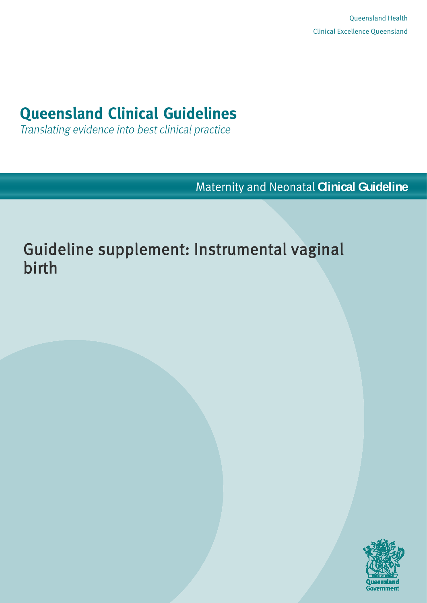# **Queensland Clinical Guidelines**

Translating evidence into best clinical practice

Maternity and Neonatal **Clinical Guideline**

# Guideline supplement: Instrumental vaginal birth

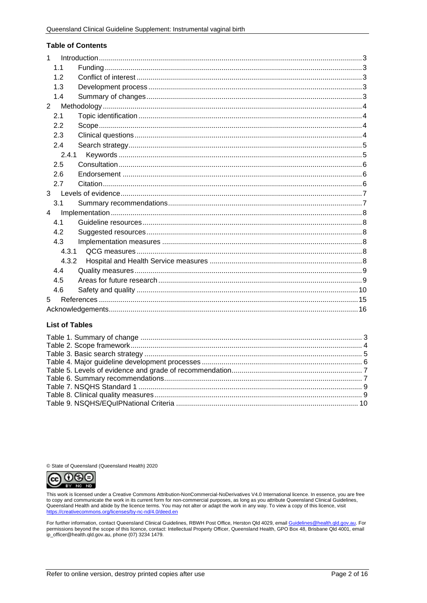#### **Table of Contents**

| $\mathbf{1}$   |       |  |  |
|----------------|-------|--|--|
|                | 1.1   |  |  |
|                | 1.2   |  |  |
|                | 1.3   |  |  |
|                | 1.4   |  |  |
| $\overline{2}$ |       |  |  |
|                | 2.1   |  |  |
|                | 2.2   |  |  |
|                | 2.3   |  |  |
|                | 2.4   |  |  |
|                | 2.4.1 |  |  |
|                | 2.5   |  |  |
|                | 2.6   |  |  |
|                | 2.7   |  |  |
| 3              |       |  |  |
|                | 3.1   |  |  |
| $\overline{4}$ |       |  |  |
|                | 4.1   |  |  |
|                | 4.2   |  |  |
|                | 4.3   |  |  |
|                | 4.3.1 |  |  |
|                | 4.3.2 |  |  |
|                | 4.4   |  |  |
|                | 4.5   |  |  |
|                | 4.6   |  |  |
|                | 5     |  |  |
|                |       |  |  |

### **List of Tables**

© State of Queensland (Queensland Health) 2020



This work is licensed under a Creative Commons Attribution-NonCommercial-NoDerivatives V4.0 International licence. In essence, you are free the communicate the work in its current form for non-commercial purposes, as long as you attribute Queensland Clinical Guidelines,<br>Queensland Health and abide by the licence terms. You may not alter or adapt the work in an

For further information, contact Queensland Clinical Guidelines, RBWH Post Office, Herston Qld 4029, email Guidelines@health.qld.gov.au. For<br>permissions beyond the scope of this licence, contact: Intellectual Property Offi ip\_officer@health.qld.gov.au, phone (07) 3234 1479.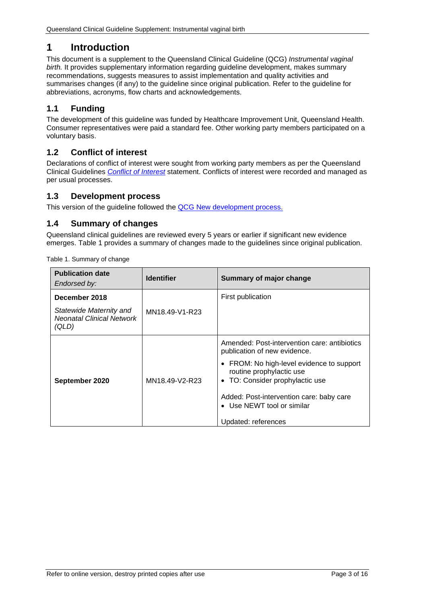# <span id="page-2-0"></span>**1 Introduction**

This document is a supplement to the Queensland Clinical Guideline (QCG) *Instrumental vaginal birth.* It provides supplementary information regarding guideline development, makes summary recommendations, suggests measures to assist implementation and quality activities and summarises changes (if any) to the guideline since original publication. Refer to the guideline for abbreviations, acronyms, flow charts and acknowledgements.

# <span id="page-2-1"></span>**1.1 Funding**

The development of this guideline was funded by Healthcare Improvement Unit, Queensland Health. Consumer representatives were paid a standard fee. Other working party members participated on a voluntary basis.

# <span id="page-2-2"></span>**1.2 Conflict of interest**

Declarations of conflict of interest were sought from working party members as per the Queensland Clinical Guidelines *[Conflict of Interest](http://www.health.qld.gov.au/qcg/development#coi)* statement. Conflicts of interest were recorded and managed as per usual processes.

# <span id="page-2-3"></span>**1.3 Development process**

<span id="page-2-4"></span>This version of the guideline followed the [QCG New development process.](https://www.health.qld.gov.au/__data/assets/pdf_file/0025/364723/o-developprocess.pdf)

# **1.4 Summary of changes**

Queensland clinical guidelines are reviewed every 5 years or earlier if significant new evidence emerges. [Table 1](#page-2-5) provides a summary of changes made to the guidelines since original publication.

<span id="page-2-5"></span>

| <b>Publication date</b><br>Endorsed by:                                               | <b>Identifier</b> | <b>Summary of major change</b>                                                                                                                                                                                                                                                            |
|---------------------------------------------------------------------------------------|-------------------|-------------------------------------------------------------------------------------------------------------------------------------------------------------------------------------------------------------------------------------------------------------------------------------------|
| December 2018<br>Statewide Maternity and<br><b>Neonatal Clinical Network</b><br>(QLD) | MN18.49-V1-R23    | First publication                                                                                                                                                                                                                                                                         |
| September 2020                                                                        | MN18.49-V2-R23    | Amended: Post-intervention care: antibiotics<br>publication of new evidence.<br>• FROM: No high-level evidence to support<br>routine prophylactic use<br>• TO: Consider prophylactic use<br>Added: Post-intervention care: baby care<br>• Use NEWT tool or similar<br>Updated: references |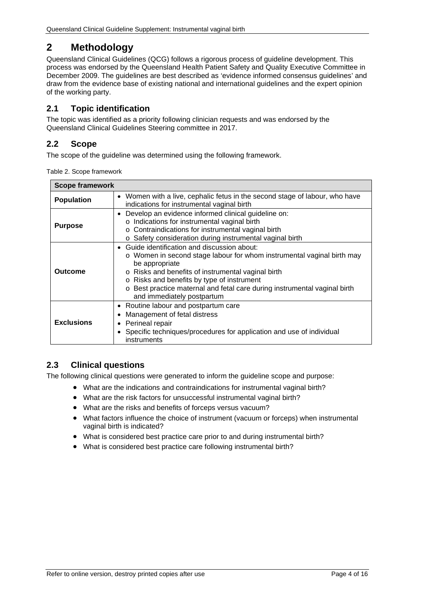# <span id="page-3-0"></span>**2 Methodology**

Queensland Clinical Guidelines (QCG) follows a rigorous process of guideline development. This process was endorsed by the Queensland Health Patient Safety and Quality Executive Committee in December 2009. The guidelines are best described as 'evidence informed consensus guidelines' and draw from the evidence base of existing national and international guidelines and the expert opinion of the working party.

# <span id="page-3-1"></span>**2.1 Topic identification**

The topic was identified as a priority following clinician requests and was endorsed by the Queensland Clinical Guidelines Steering committee in 2017.

# <span id="page-3-2"></span>**2.2 Scope**

<span id="page-3-4"></span>The scope of the guideline was determined using the following framework.

|  | Table 2. Scope framework |
|--|--------------------------|
|  |                          |

| <b>Scope framework</b>                                                                                                                         |                                                                                                                                                                                                                                                                                                                                                     |  |  |  |
|------------------------------------------------------------------------------------------------------------------------------------------------|-----------------------------------------------------------------------------------------------------------------------------------------------------------------------------------------------------------------------------------------------------------------------------------------------------------------------------------------------------|--|--|--|
| • Women with a live, cephalic fetus in the second stage of labour, who have<br><b>Population</b><br>indications for instrumental vaginal birth |                                                                                                                                                                                                                                                                                                                                                     |  |  |  |
| <b>Purpose</b>                                                                                                                                 | Develop an evidence informed clinical guideline on:<br>o Indications for instrumental vaginal birth<br>o Contraindications for instrumental vaginal birth<br>o Safety consideration during instrumental vaginal birth                                                                                                                               |  |  |  |
| <b>Outcome</b>                                                                                                                                 | Guide identification and discussion about:<br>o Women in second stage labour for whom instrumental vaginal birth may<br>be appropriate<br>o Risks and benefits of instrumental vaginal birth<br>o Risks and benefits by type of instrument<br>Best practice maternal and fetal care during instrumental vaginal birth<br>and immediately postpartum |  |  |  |
| <b>Exclusions</b>                                                                                                                              | • Routine labour and postpartum care<br>Management of fetal distress<br>Perineal repair<br>Specific techniques/procedures for application and use of individual<br>instruments                                                                                                                                                                      |  |  |  |

# <span id="page-3-3"></span>**2.3 Clinical questions**

The following clinical questions were generated to inform the guideline scope and purpose:

- What are the indications and contraindications for instrumental vaginal birth?
- What are the risk factors for unsuccessful instrumental vaginal birth?
- What are the risks and benefits of forceps versus vacuum?
- What factors influence the choice of instrument (vacuum or forceps) when instrumental vaginal birth is indicated?
- What is considered best practice care prior to and during instrumental birth?
- What is considered best practice care following instrumental birth?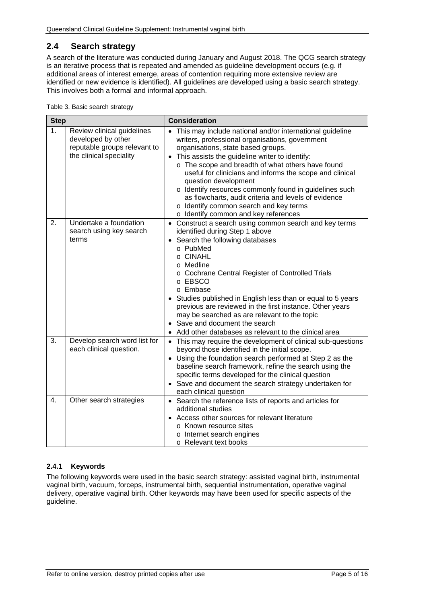# <span id="page-4-0"></span>**2.4 Search strategy**

A search of the literature was conducted during January and August 2018. The QCG search strategy is an iterative process that is repeated and amended as guideline development occurs (e.g. if additional areas of interest emerge, areas of contention requiring more extensive review are identified or new evidence is identified). All guidelines are developed using a basic search strategy. This involves both a formal and informal approach.

<span id="page-4-2"></span>Table 3. Basic search strategy

| <b>Step</b> |                                                                                                             | <b>Consideration</b>                                                                                                                                                                                                                                                                                                                                                                                                                                                                                                                                 |
|-------------|-------------------------------------------------------------------------------------------------------------|------------------------------------------------------------------------------------------------------------------------------------------------------------------------------------------------------------------------------------------------------------------------------------------------------------------------------------------------------------------------------------------------------------------------------------------------------------------------------------------------------------------------------------------------------|
| 1.          | Review clinical guidelines<br>developed by other<br>reputable groups relevant to<br>the clinical speciality | • This may include national and/or international guideline<br>writers, professional organisations, government<br>organisations, state based groups.<br>• This assists the guideline writer to identify:<br>o The scope and breadth of what others have found<br>useful for clinicians and informs the scope and clinical<br>question development<br>o Identify resources commonly found in guidelines such<br>as flowcharts, audit criteria and levels of evidence<br>o Identify common search and key terms<br>o Identify common and key references |
| 2.          | Undertake a foundation<br>search using key search<br>terms                                                  | • Construct a search using common search and key terms<br>identified during Step 1 above<br>• Search the following databases<br>o PubMed<br>o CINAHL<br>o Medline<br>o Cochrane Central Register of Controlled Trials<br>o EBSCO<br>o Embase<br>Studies published in English less than or equal to 5 years<br>previous are reviewed in the first instance. Other years<br>may be searched as are relevant to the topic<br>Save and document the search<br>Add other databases as relevant to the clinical area                                       |
| 3.          | Develop search word list for<br>each clinical question.                                                     | • This may require the development of clinical sub-questions<br>beyond those identified in the initial scope.<br>• Using the foundation search performed at Step 2 as the<br>baseline search framework, refine the search using the<br>specific terms developed for the clinical question<br>• Save and document the search strategy undertaken for<br>each clinical question                                                                                                                                                                        |
| 4.          | Other search strategies                                                                                     | • Search the reference lists of reports and articles for<br>additional studies<br>Access other sources for relevant literature<br>o Known resource sites<br>o Internet search engines<br>o Relevant text books                                                                                                                                                                                                                                                                                                                                       |

## <span id="page-4-1"></span>**2.4.1 Keywords**

The following keywords were used in the basic search strategy: assisted vaginal birth, instrumental vaginal birth, vacuum, forceps, instrumental birth, sequential instrumentation, operative vaginal delivery, operative vaginal birth. Other keywords may have been used for specific aspects of the guideline.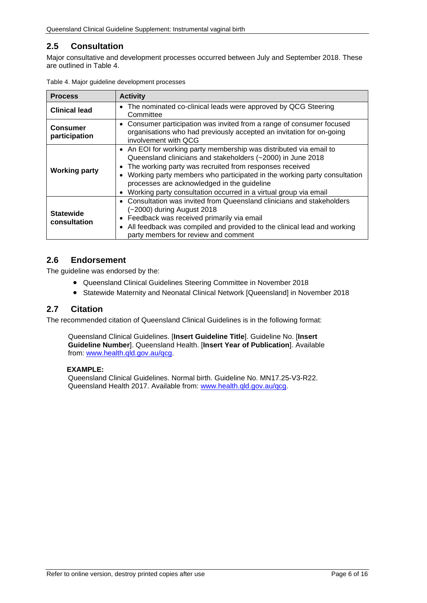# <span id="page-5-0"></span>**2.5 Consultation**

Major consultative and development processes occurred between July and September 2018. These are outlined in [Table 4.](#page-5-3)

| <b>Process</b>                   | <b>Activity</b>                                                                                                                                                                                                                                                                                                                                                                                                       |
|----------------------------------|-----------------------------------------------------------------------------------------------------------------------------------------------------------------------------------------------------------------------------------------------------------------------------------------------------------------------------------------------------------------------------------------------------------------------|
| <b>Clinical lead</b>             | The nominated co-clinical leads were approved by QCG Steering<br>$\bullet$<br>Committee                                                                                                                                                                                                                                                                                                                               |
| <b>Consumer</b><br>participation | • Consumer participation was invited from a range of consumer focused<br>organisations who had previously accepted an invitation for on-going<br>involvement with OCG                                                                                                                                                                                                                                                 |
| <b>Working party</b>             | • An EOI for working party membership was distributed via email to<br>Queensland clinicians and stakeholders (~2000) in June 2018<br>The working party was recruited from responses received<br>Working party members who participated in the working party consultation<br>$\bullet$<br>processes are acknowledged in the guideline<br>Working party consultation occurred in a virtual group via email<br>$\bullet$ |
| <b>Statewide</b><br>consultation | Consultation was invited from Queensland clinicians and stakeholders<br>(~2000) during August 2018<br>Feedback was received primarily via email<br>$\bullet$<br>All feedback was compiled and provided to the clinical lead and working<br>$\bullet$<br>party members for review and comment                                                                                                                          |

<span id="page-5-3"></span>

|  |  | Table 4. Major guideline development processes |  |
|--|--|------------------------------------------------|--|
|--|--|------------------------------------------------|--|

## <span id="page-5-1"></span>**2.6 Endorsement**

The guideline was endorsed by the:

- Queensland Clinical Guidelines Steering Committee in November 2018
- Statewide Maternity and Neonatal Clinical Network [Queensland] in November 2018

## <span id="page-5-2"></span>**2.7 Citation**

The recommended citation of Queensland Clinical Guidelines is in the following format:

Queensland Clinical Guidelines. [**Insert Guideline Title**]. Guideline No. [**Insert Guideline Number**]. Queensland Health. [**Insert Year of Publication**]. Available from: [www.health.qld.gov.au/qcg.](http://www.health.qld.gov.au/qcg)

#### **EXAMPLE:**

Queensland Clinical Guidelines. Normal birth. Guideline No. MN17.25-V3-R22. Queensland Health 2017. Available from: [www.health.qld.gov.au/qcg.](http://www.health.qld.gov.au/qcg)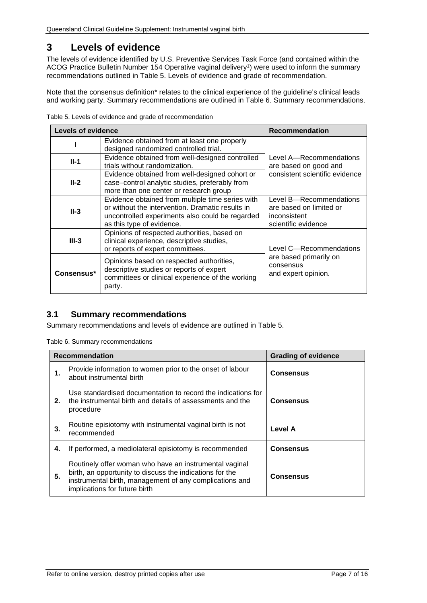# <span id="page-6-0"></span>**3 Levels of evidence**

The levels of evidence identified by U.S. Preventive Services Task Force (and contained within the ACOG Practice Bulletin Number 154 Operative vaginal delivery<sup>1</sup>) were used to inform the summary recommendations outlined in [Table 5. Levels of evidence and grade of recommendation.](#page-6-2)

Note that the consensus definition\* relates to the clinical experience of the guideline's clinical leads and working party. Summary recommendations are outlined in [Table 6. Summary recommendations.](#page-6-3)

| <b>Levels of evidence</b> |                                                                                                                                                                                      | <b>Recommendation</b>                                                                     |  |
|---------------------------|--------------------------------------------------------------------------------------------------------------------------------------------------------------------------------------|-------------------------------------------------------------------------------------------|--|
|                           | Evidence obtained from at least one properly<br>designed randomized controlled trial.                                                                                                |                                                                                           |  |
| $II-1$                    | Evidence obtained from well-designed controlled<br>trials without randomization.                                                                                                     | Level A-Recommendations<br>are based on good and                                          |  |
| $II-2$                    | Evidence obtained from well-designed cohort or<br>case-control analytic studies, preferably from<br>more than one center or research group                                           | consistent scientific evidence                                                            |  |
| $II-3$                    | Evidence obtained from multiple time series with<br>or without the intervention. Dramatic results in<br>uncontrolled experiments also could be regarded<br>as this type of evidence. | Level B-Recommendations<br>are based on limited or<br>inconsistent<br>scientific evidence |  |
| $III-3$                   | Opinions of respected authorities, based on<br>clinical experience, descriptive studies,<br>or reports of expert committees.                                                         | Level C-Recommendations                                                                   |  |
| Consensus*                | Opinions based on respected authorities,<br>descriptive studies or reports of expert<br>committees or clinical experience of the working<br>party.                                   | are based primarily on<br>consensus<br>and expert opinion.                                |  |

<span id="page-6-2"></span>Table 5. Levels of evidence and grade of recommendation

# <span id="page-6-1"></span>**3.1 Summary recommendations**

<span id="page-6-3"></span>Summary recommendations and levels of evidence are outlined in Table 5.

Table 6. Summary recommendations

|    | <b>Recommendation</b><br><b>Grading of evidence</b>                                                                                                                                                            |                  |  |
|----|----------------------------------------------------------------------------------------------------------------------------------------------------------------------------------------------------------------|------------------|--|
| 1. | Provide information to women prior to the onset of labour<br>about instrumental birth                                                                                                                          | <b>Consensus</b> |  |
| 2. | Use standardised documentation to record the indications for<br>the instrumental birth and details of assessments and the<br>procedure                                                                         | <b>Consensus</b> |  |
| 3. | Routine episiotomy with instrumental vaginal birth is not<br>recommended                                                                                                                                       | Level A          |  |
| 4. | If performed, a mediolateral episiotomy is recommended                                                                                                                                                         | <b>Consensus</b> |  |
| 5. | Routinely offer woman who have an instrumental vaginal<br>birth, an opportunity to discuss the indications for the<br>instrumental birth, management of any complications and<br>implications for future birth | <b>Consensus</b> |  |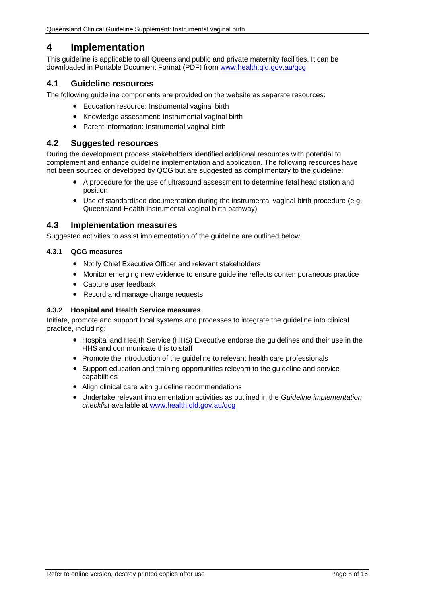# <span id="page-7-0"></span>**4 Implementation**

This guideline is applicable to all Queensland public and private maternity facilities. It can be downloaded in Portable Document Format (PDF) from [www.health.qld.gov.au/qcg](http://www.health.qld.gov.au/qcg)

# <span id="page-7-1"></span>**4.1 Guideline resources**

The following guideline components are provided on the website as separate resources:

- Education resource: Instrumental vaginal birth
- Knowledge assessment: Instrumental vaginal birth
- Parent information: Instrumental vaginal birth

## <span id="page-7-2"></span>**4.2 Suggested resources**

During the development process stakeholders identified additional resources with potential to complement and enhance guideline implementation and application. The following resources have not been sourced or developed by QCG but are suggested as complimentary to the guideline:

- A procedure for the use of ultrasound assessment to determine fetal head station and position
- Use of standardised documentation during the instrumental vaginal birth procedure (e.g. Queensland Health instrumental vaginal birth pathway)

## <span id="page-7-3"></span>**4.3 Implementation measures**

Suggested activities to assist implementation of the guideline are outlined below.

#### <span id="page-7-4"></span>**4.3.1 QCG measures**

- Notify Chief Executive Officer and relevant stakeholders
- Monitor emerging new evidence to ensure guideline reflects contemporaneous practice
- Capture user feedback
- Record and manage change requests

#### <span id="page-7-5"></span>**4.3.2 Hospital and Health Service measures**

Initiate, promote and support local systems and processes to integrate the guideline into clinical practice, including:

- Hospital and Health Service (HHS) Executive endorse the guidelines and their use in the HHS and communicate this to staff
- Promote the introduction of the guideline to relevant health care professionals
- Support education and training opportunities relevant to the guideline and service capabilities
- Align clinical care with guideline recommendations
- Undertake relevant implementation activities as outlined in the *Guideline implementation checklist* available at [www.health.qld.gov.au/qcg](http://www.health.qld.gov.au/qcg)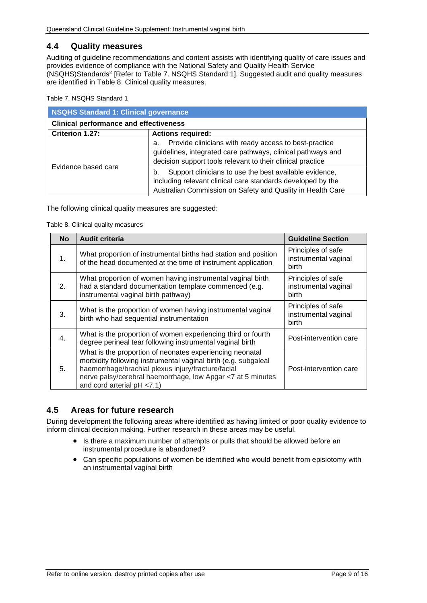## <span id="page-8-0"></span>**4.4 Quality measures**

Auditing of guideline recommendations and content assists with identifying quality of care issues and provides evidence of compliance with the National Safety and Quality Health Service (NSQHS)Standards2 [Refer to Table 7. [NSQHS Standard 1\]](#page-8-2). Suggested audit and quality measures are identified in [Table 8. Clinical quality measures.](#page-8-3)

<span id="page-8-2"></span>Table 7. NSQHS Standard 1

| <b>NSQHS Standard 1: Clinical governance</b>  |                                                                                                                                                                                           |  |  |
|-----------------------------------------------|-------------------------------------------------------------------------------------------------------------------------------------------------------------------------------------------|--|--|
| <b>Clinical performance and effectiveness</b> |                                                                                                                                                                                           |  |  |
| Criterion 1.27:                               | <b>Actions required:</b>                                                                                                                                                                  |  |  |
|                                               | Provide clinicians with ready access to best-practice<br>a.<br>guidelines, integrated care pathways, clinical pathways and<br>decision support tools relevant to their clinical practice  |  |  |
| Evidence based care                           | Support clinicians to use the best available evidence,<br>b.<br>including relevant clinical care standards developed by the<br>Australian Commission on Safety and Quality in Health Care |  |  |

<span id="page-8-3"></span>The following clinical quality measures are suggested:

Table 8. Clinical quality measures

| <b>No</b>        | <b>Audit criteria</b>                                                                                                                                                                                                                                                         | <b>Guideline Section</b>                                   |
|------------------|-------------------------------------------------------------------------------------------------------------------------------------------------------------------------------------------------------------------------------------------------------------------------------|------------------------------------------------------------|
| 1.               | What proportion of instrumental births had station and position<br>of the head documented at the time of instrument application                                                                                                                                               | Principles of safe<br>instrumental vaginal<br><b>birth</b> |
| 2.               | What proportion of women having instrumental vaginal birth<br>had a standard documentation template commenced (e.g.<br>instrumental vaginal birth pathway)                                                                                                                    | Principles of safe<br>instrumental vaginal<br>birth        |
| 3.               | What is the proportion of women having instrumental vaginal<br>birth who had sequential instrumentation                                                                                                                                                                       | Principles of safe<br>instrumental vaginal<br>birth        |
| $\overline{4}$ . | What is the proportion of women experiencing third or fourth<br>degree perineal tear following instrumental vaginal birth                                                                                                                                                     | Post-intervention care                                     |
| 5.               | What is the proportion of neonates experiencing neonatal<br>morbidity following instrumental vaginal birth (e.g. subgaleal<br>haemorrhage/brachial plexus injury/fracture/facial<br>nerve palsy/cerebral haemorrhage, low Apgar <7 at 5 minutes<br>and cord arterial pH <7.1) | Post-intervention care                                     |

# <span id="page-8-1"></span>**4.5 Areas for future research**

During development the following areas where identified as having limited or poor quality evidence to inform clinical decision making. Further research in these areas may be useful.

- Is there a maximum number of attempts or pulls that should be allowed before an instrumental procedure is abandoned?
- Can specific populations of women be identified who would benefit from episiotomy with an instrumental vaginal birth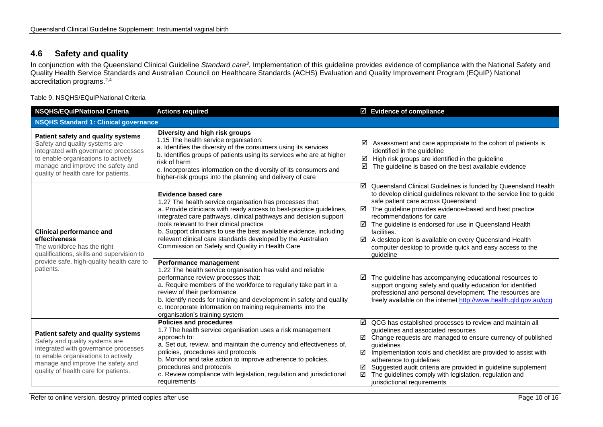# **4.6 Safety and quality**

In conjunction with the Queensland Clinical Guideline *Standard care3*, Implementation of this guideline provides evidence of compliance with the National Safety and Quality Health Service Standards and Australian Council on Healthcare Standards (ACHS) Evaluation and Quality Improvement Program (EQuIP) National accreditation programs.2,4

Table 9. NSQHS/EQuIPNational Criteria

<span id="page-9-1"></span><span id="page-9-0"></span>

| <b>NSQHS/EQulPNational Criteria</b>                                                                                                                                                                                              | <b>Actions required</b>                                                                                                                                                                                                                                                                                                                                                                                                                                            |             | $\boxtimes$ Evidence of compliance                                                                                                                                                                                                                                                                                                                                                                                                                                                          |
|----------------------------------------------------------------------------------------------------------------------------------------------------------------------------------------------------------------------------------|--------------------------------------------------------------------------------------------------------------------------------------------------------------------------------------------------------------------------------------------------------------------------------------------------------------------------------------------------------------------------------------------------------------------------------------------------------------------|-------------|---------------------------------------------------------------------------------------------------------------------------------------------------------------------------------------------------------------------------------------------------------------------------------------------------------------------------------------------------------------------------------------------------------------------------------------------------------------------------------------------|
| <b>NSQHS Standard 1: Clinical governance</b>                                                                                                                                                                                     |                                                                                                                                                                                                                                                                                                                                                                                                                                                                    |             |                                                                                                                                                                                                                                                                                                                                                                                                                                                                                             |
| Patient safety and quality systems<br>Safety and quality systems are<br>integrated with governance processes<br>to enable organisations to actively<br>manage and improve the safety and<br>quality of health care for patients. | Diversity and high risk groups<br>1.15 The health service organisation:<br>a. Identifies the diversity of the consumers using its services<br>b. Identifies groups of patients using its services who are at higher<br>risk of harm<br>c. Incorporates information on the diversity of its consumers and<br>higher-risk groups into the planning and delivery of care                                                                                              | ☑<br>☑<br>☑ | Assessment and care appropriate to the cohort of patients is<br>identified in the guideline<br>High risk groups are identified in the guideline<br>The guideline is based on the best available evidence                                                                                                                                                                                                                                                                                    |
| <b>Clinical performance and</b><br>effectiveness<br>The workforce has the right<br>qualifications, skills and supervision to<br>provide safe, high-quality health care to<br>patients.                                           | Evidence based care<br>1.27 The health service organisation has processes that:<br>a. Provide clinicians with ready access to best-practice guidelines,<br>integrated care pathways, clinical pathways and decision support<br>tools relevant to their clinical practice<br>b. Support clinicians to use the best available evidence, including<br>relevant clinical care standards developed by the Australian<br>Commission on Safety and Quality in Health Care | ☑<br>☑      | Queensland Clinical Guidelines is funded by Queensland Health<br>to develop clinical guidelines relevant to the service line to guide<br>safe patient care across Queensland<br>The guideline provides evidence-based and best practice<br>recommendations for care<br>$\boxtimes$ The guideline is endorsed for use in Queensland Health<br>facilities.<br>A desktop icon is available on every Queensland Health<br>computer desktop to provide quick and easy access to the<br>guideline |
|                                                                                                                                                                                                                                  | Performance management<br>1.22 The health service organisation has valid and reliable<br>performance review processes that:<br>a. Require members of the workforce to regularly take part in a<br>review of their performance<br>b. Identify needs for training and development in safety and quality<br>c. Incorporate information on training requirements into the<br>organisation's training system                                                            | ☑           | The guideline has accompanying educational resources to<br>support ongoing safety and quality education for identified<br>professional and personal development. The resources are<br>freely available on the internet http://www.health.qld.gov.au/qcg                                                                                                                                                                                                                                     |
| Patient safety and quality systems<br>Safety and quality systems are<br>integrated with governance processes<br>to enable organisations to actively<br>manage and improve the safety and<br>quality of health care for patients. | <b>Policies and procedures</b><br>1.7 The health service organisation uses a risk management<br>approach to:<br>a. Set out, review, and maintain the currency and effectiveness of,<br>policies, procedures and protocols<br>b. Monitor and take action to improve adherence to policies,<br>procedures and protocols<br>c. Review compliance with legislation, regulation and jurisdictional<br>requirements                                                      | ☑<br>☑      | $\boxtimes$ QCG has established processes to review and maintain all<br>guidelines and associated resources<br>$\boxtimes$ Change requests are managed to ensure currency of published<br>guidelines<br>$\boxtimes$ Implementation tools and checklist are provided to assist with<br>adherence to guidelines<br>Suggested audit criteria are provided in guideline supplement<br>The guidelines comply with legislation, regulation and<br>jurisdictional requirements                     |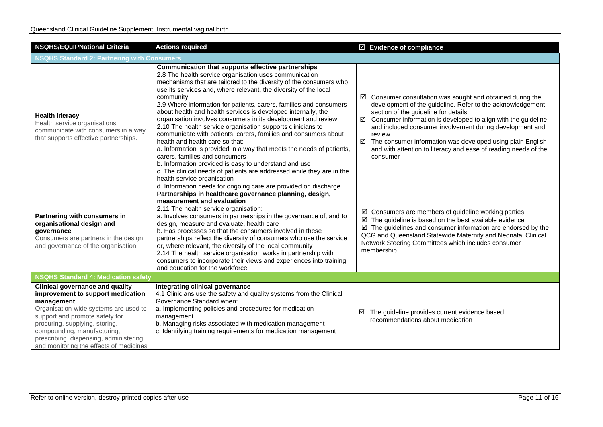| <b>NSQHS/EQulPNational Criteria</b>                                                                                                                                                                                                                                                                                        | <b>Actions required</b>                                                                                                                                                                                                                                                                                                                                                                                                                                                                                                                                                                                                                                                                                                                                                                                                                                                                                                                                                                         | $\boxtimes$ Evidence of compliance                                                                                                                                                                                                                                                                                                                                                                                                                                           |  |
|----------------------------------------------------------------------------------------------------------------------------------------------------------------------------------------------------------------------------------------------------------------------------------------------------------------------------|-------------------------------------------------------------------------------------------------------------------------------------------------------------------------------------------------------------------------------------------------------------------------------------------------------------------------------------------------------------------------------------------------------------------------------------------------------------------------------------------------------------------------------------------------------------------------------------------------------------------------------------------------------------------------------------------------------------------------------------------------------------------------------------------------------------------------------------------------------------------------------------------------------------------------------------------------------------------------------------------------|------------------------------------------------------------------------------------------------------------------------------------------------------------------------------------------------------------------------------------------------------------------------------------------------------------------------------------------------------------------------------------------------------------------------------------------------------------------------------|--|
| <b>NSQHS Standard 2: Partnering with Consumers</b>                                                                                                                                                                                                                                                                         |                                                                                                                                                                                                                                                                                                                                                                                                                                                                                                                                                                                                                                                                                                                                                                                                                                                                                                                                                                                                 |                                                                                                                                                                                                                                                                                                                                                                                                                                                                              |  |
| <b>Health literacy</b><br>Health service organisations<br>communicate with consumers in a way<br>that supports effective partnerships.                                                                                                                                                                                     | Communication that supports effective partnerships<br>2.8 The health service organisation uses communication<br>mechanisms that are tailored to the diversity of the consumers who<br>use its services and, where relevant, the diversity of the local<br>community<br>2.9 Where information for patients, carers, families and consumers<br>about health and health services is developed internally, the<br>organisation involves consumers in its development and review<br>2.10 The health service organisation supports clinicians to<br>communicate with patients, carers, families and consumers about<br>health and health care so that:<br>a. Information is provided in a way that meets the needs of patients,<br>carers, families and consumers<br>b. Information provided is easy to understand and use<br>c. The clinical needs of patients are addressed while they are in the<br>health service organisation<br>d. Information needs for ongoing care are provided on discharge | $\boxtimes$ Consumer consultation was sought and obtained during the<br>development of the guideline. Refer to the acknowledgement<br>section of the guideline for details<br>$\boxtimes$ Consumer information is developed to align with the guideline<br>and included consumer involvement during development and<br>review<br>□ The consumer information was developed using plain English<br>and with attention to literacy and ease of reading needs of the<br>consumer |  |
| Partnering with consumers in<br>organisational design and<br>governance<br>Consumers are partners in the design<br>and governance of the organisation.                                                                                                                                                                     | Partnerships in healthcare governance planning, design,<br>measurement and evaluation<br>2.11 The health service organisation:<br>a. Involves consumers in partnerships in the governance of, and to<br>design, measure and evaluate, health care<br>b. Has processes so that the consumers involved in these<br>partnerships reflect the diversity of consumers who use the service<br>or, where relevant, the diversity of the local community<br>2.14 The health service organisation works in partnership with<br>consumers to incorporate their views and experiences into training<br>and education for the workforce                                                                                                                                                                                                                                                                                                                                                                     | $\boxtimes$ Consumers are members of guideline working parties<br>$\boxtimes$ The guideline is based on the best available evidence<br>$\boxtimes$ The guidelines and consumer information are endorsed by the<br>QCG and Queensland Statewide Maternity and Neonatal Clinical<br>Network Steering Committees which includes consumer<br>membership                                                                                                                          |  |
| <b>NSQHS Standard 4: Medication safety</b>                                                                                                                                                                                                                                                                                 |                                                                                                                                                                                                                                                                                                                                                                                                                                                                                                                                                                                                                                                                                                                                                                                                                                                                                                                                                                                                 |                                                                                                                                                                                                                                                                                                                                                                                                                                                                              |  |
| <b>Clinical governance and quality</b><br>improvement to support medication<br>management<br>Organisation-wide systems are used to<br>support and promote safety for<br>procuring, supplying, storing,<br>compounding, manufacturing,<br>prescribing, dispensing, administering<br>and monitoring the effects of medicines | <b>Integrating clinical governance</b><br>4.1 Clinicians use the safety and quality systems from the Clinical<br>Governance Standard when:<br>a. Implementing policies and procedures for medication<br>management<br>b. Managing risks associated with medication management<br>c. Identifying training requirements for medication management                                                                                                                                                                                                                                                                                                                                                                                                                                                                                                                                                                                                                                                 | The guideline provides current evidence based<br>☑<br>recommendations about medication                                                                                                                                                                                                                                                                                                                                                                                       |  |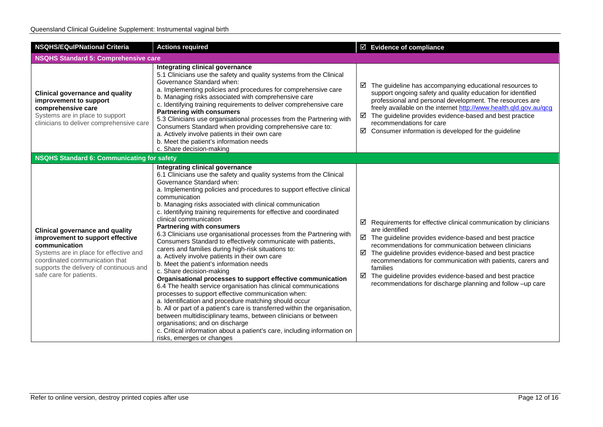| <b>NSQHS/EQuIPNational Criteria</b>                                                                                                                                                                                                           | <b>Actions required</b>                                                                                                                                                                                                                                                                                                                                                                                                                                                                                                                                                                                                                                                                                                                                                                                                                                                                                                                                                                                                                                                                                                                                                                                                                                                                            | $\boxtimes$ Evidence of compliance                                                                                                                                                                                                                                                                                                                                                                                                                                                                           |
|-----------------------------------------------------------------------------------------------------------------------------------------------------------------------------------------------------------------------------------------------|----------------------------------------------------------------------------------------------------------------------------------------------------------------------------------------------------------------------------------------------------------------------------------------------------------------------------------------------------------------------------------------------------------------------------------------------------------------------------------------------------------------------------------------------------------------------------------------------------------------------------------------------------------------------------------------------------------------------------------------------------------------------------------------------------------------------------------------------------------------------------------------------------------------------------------------------------------------------------------------------------------------------------------------------------------------------------------------------------------------------------------------------------------------------------------------------------------------------------------------------------------------------------------------------------|--------------------------------------------------------------------------------------------------------------------------------------------------------------------------------------------------------------------------------------------------------------------------------------------------------------------------------------------------------------------------------------------------------------------------------------------------------------------------------------------------------------|
| <b>NSQHS Standard 5: Comprehensive care</b>                                                                                                                                                                                                   |                                                                                                                                                                                                                                                                                                                                                                                                                                                                                                                                                                                                                                                                                                                                                                                                                                                                                                                                                                                                                                                                                                                                                                                                                                                                                                    |                                                                                                                                                                                                                                                                                                                                                                                                                                                                                                              |
| <b>Clinical governance and quality</b><br>improvement to support<br>comprehensive care<br>Systems are in place to support<br>clinicians to deliver comprehensive care                                                                         | Integrating clinical governance<br>5.1 Clinicians use the safety and quality systems from the Clinical<br>Governance Standard when:<br>a. Implementing policies and procedures for comprehensive care<br>b. Managing risks associated with comprehensive care<br>c. Identifying training requirements to deliver comprehensive care<br><b>Partnering with consumers</b><br>5.3 Clinicians use organisational processes from the Partnering with<br>Consumers Standard when providing comprehensive care to:<br>a. Actively involve patients in their own care<br>b. Meet the patient's information needs<br>c. Share decision-making                                                                                                                                                                                                                                                                                                                                                                                                                                                                                                                                                                                                                                                               | $\boxtimes$ The guideline has accompanying educational resources to<br>support ongoing safety and quality education for identified<br>professional and personal development. The resources are<br>freely available on the internet http://www.health.qld.gov.au/qcg<br>$\boxtimes$ The guideline provides evidence-based and best practice<br>recommendations for care<br>☑<br>Consumer information is developed for the guideline                                                                           |
| <b>NSQHS Standard 6: Communicating for safety</b>                                                                                                                                                                                             |                                                                                                                                                                                                                                                                                                                                                                                                                                                                                                                                                                                                                                                                                                                                                                                                                                                                                                                                                                                                                                                                                                                                                                                                                                                                                                    |                                                                                                                                                                                                                                                                                                                                                                                                                                                                                                              |
| <b>Clinical governance and quality</b><br>improvement to support effective<br>communication<br>Systems are in place for effective and<br>coordinated communication that<br>supports the delivery of continuous and<br>safe care for patients. | Integrating clinical governance<br>6.1 Clinicians use the safety and quality systems from the Clinical<br>Governance Standard when:<br>a. Implementing policies and procedures to support effective clinical<br>communication<br>b. Managing risks associated with clinical communication<br>c. Identifying training requirements for effective and coordinated<br>clinical communication<br><b>Partnering with consumers</b><br>6.3 Clinicians use organisational processes from the Partnering with<br>Consumers Standard to effectively communicate with patients,<br>carers and families during high-risk situations to:<br>a. Actively involve patients in their own care<br>b. Meet the patient's information needs<br>c. Share decision-making<br>Organisational processes to support effective communication<br>6.4 The health service organisation has clinical communications<br>processes to support effective communication when:<br>a. Identification and procedure matching should occur<br>b. All or part of a patient's care is transferred within the organisation,<br>between multidisciplinary teams, between clinicians or between<br>organisations; and on discharge<br>c. Critical information about a patient's care, including information on<br>risks, emerges or changes | $\boxtimes$ Requirements for effective clinical communication by clinicians<br>are identified<br>$\boxtimes$ The guideline provides evidence-based and best practice<br>recommendations for communication between clinicians<br>$\boxtimes$ The guideline provides evidence-based and best practice<br>recommendations for communication with patients, carers and<br>families<br>☑<br>The guideline provides evidence-based and best practice<br>recommendations for discharge planning and follow -up care |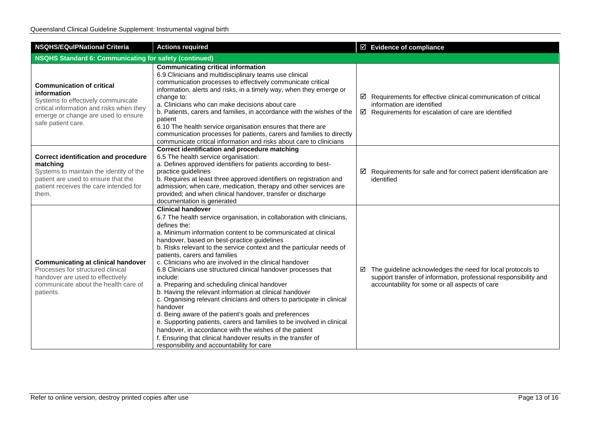| <b>NSQHS/EQuIPNational Criteria</b>                                                                                                                                                            | <b>Actions required</b>                                                                                                                                                                                                                                                                                                                                                                                                                                                                                                                                                                                                                                                                                                                                                                                                                                                                                                                                                                             | $\boxtimes$ Evidence of compliance                                                                                                                                                    |  |
|------------------------------------------------------------------------------------------------------------------------------------------------------------------------------------------------|-----------------------------------------------------------------------------------------------------------------------------------------------------------------------------------------------------------------------------------------------------------------------------------------------------------------------------------------------------------------------------------------------------------------------------------------------------------------------------------------------------------------------------------------------------------------------------------------------------------------------------------------------------------------------------------------------------------------------------------------------------------------------------------------------------------------------------------------------------------------------------------------------------------------------------------------------------------------------------------------------------|---------------------------------------------------------------------------------------------------------------------------------------------------------------------------------------|--|
| <b>NSQHS Standard 6: Communicating for safety (continued)</b>                                                                                                                                  |                                                                                                                                                                                                                                                                                                                                                                                                                                                                                                                                                                                                                                                                                                                                                                                                                                                                                                                                                                                                     |                                                                                                                                                                                       |  |
| <b>Communication of critical</b><br>information<br>Systems to effectively communicate<br>critical information and risks when they<br>emerge or change are used to ensure<br>safe patient care. | <b>Communicating critical information</b><br>6.9 Clinicians and multidisciplinary teams use clinical<br>communication processes to effectively communicate critical<br>information, alerts and risks, in a timely way, when they emerge or<br>change to:<br>a. Clinicians who can make decisions about care<br>b. Patients, carers and families, in accordance with the wishes of the<br>patient<br>6.10 The health service organisation ensures that there are<br>communication processes for patients, carers and families to directly<br>communicate critical information and risks about care to clinicians                                                                                                                                                                                                                                                                                                                                                                                     | $\boxtimes$ Requirements for effective clinical communication of critical<br>information are identified<br>$\boxtimes$ Requirements for escalation of care are identified             |  |
| <b>Correct identification and procedure</b><br>matching<br>Systems to maintain the identity of the<br>patient are used to ensure that the<br>patient receives the care intended for<br>them.   | Correct identification and procedure matching<br>6.5 The health service organisation:<br>a. Defines approved identifiers for patients according to best-<br>practice guidelines<br>b. Requires at least three approved identifiers on registration and<br>admission; when care, medication, therapy and other services are<br>provided; and when clinical handover, transfer or discharge<br>documentation is generated                                                                                                                                                                                                                                                                                                                                                                                                                                                                                                                                                                             | $\boxtimes$ Requirements for safe and for correct patient identification are<br>identified                                                                                            |  |
| <b>Communicating at clinical handover</b><br>Processes for structured clinical<br>handover are used to effectively<br>communicate about the health care of<br>patients.                        | <b>Clinical handover</b><br>6.7 The health service organisation, in collaboration with clinicians,<br>defines the:<br>a. Minimum information content to be communicated at clinical<br>handover, based on best-practice guidelines<br>b. Risks relevant to the service context and the particular needs of<br>patients, carers and families<br>c. Clinicians who are involved in the clinical handover<br>6.8 Clinicians use structured clinical handover processes that<br>include:<br>a. Preparing and scheduling clinical handover<br>b. Having the relevant information at clinical handover<br>c. Organising relevant clinicians and others to participate in clinical<br>handover<br>d. Being aware of the patient's goals and preferences<br>e. Supporting patients, carers and families to be involved in clinical<br>handover, in accordance with the wishes of the patient<br>f. Ensuring that clinical handover results in the transfer of<br>responsibility and accountability for care | The guideline acknowledges the need for local protocols to<br>☑<br>support transfer of information, professional responsibility and<br>accountability for some or all aspects of care |  |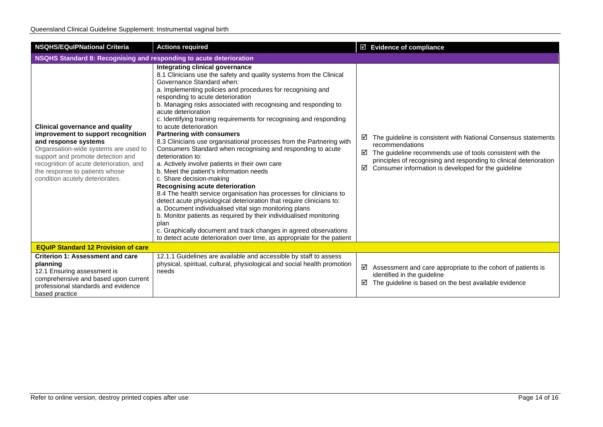| <b>NSQHS/EQuIPNational Criteria</b>                                                                                                                                                                                                                                                                | <b>Actions required</b>                                                                                                                                                                                                                                                                                                                                                                                                                                                                                                                                                                                                                                                                                                                                                                                                                                                                                                                                                                                                                                                                                                                                                                                                              | $\boxtimes$ Evidence of compliance                                                                                                                                                                                                                                                         |  |
|----------------------------------------------------------------------------------------------------------------------------------------------------------------------------------------------------------------------------------------------------------------------------------------------------|--------------------------------------------------------------------------------------------------------------------------------------------------------------------------------------------------------------------------------------------------------------------------------------------------------------------------------------------------------------------------------------------------------------------------------------------------------------------------------------------------------------------------------------------------------------------------------------------------------------------------------------------------------------------------------------------------------------------------------------------------------------------------------------------------------------------------------------------------------------------------------------------------------------------------------------------------------------------------------------------------------------------------------------------------------------------------------------------------------------------------------------------------------------------------------------------------------------------------------------|--------------------------------------------------------------------------------------------------------------------------------------------------------------------------------------------------------------------------------------------------------------------------------------------|--|
| NSQHS Standard 8: Recognising and responding to acute deterioration                                                                                                                                                                                                                                |                                                                                                                                                                                                                                                                                                                                                                                                                                                                                                                                                                                                                                                                                                                                                                                                                                                                                                                                                                                                                                                                                                                                                                                                                                      |                                                                                                                                                                                                                                                                                            |  |
| <b>Clinical governance and quality</b><br>improvement to support recognition<br>and response systems<br>Organisation-wide systems are used to<br>support and promote detection and<br>recognition of acute deterioration, and<br>the response to patients whose<br>condition acutely deteriorates. | Integrating clinical governance<br>8.1 Clinicians use the safety and quality systems from the Clinical<br>Governance Standard when:<br>a. Implementing policies and procedures for recognising and<br>responding to acute deterioration<br>b. Managing risks associated with recognising and responding to<br>acute deterioration<br>c. Identifying training requirements for recognising and responding<br>to acute deterioration<br><b>Partnering with consumers</b><br>8.3 Clinicians use organisational processes from the Partnering with<br>Consumers Standard when recognising and responding to acute<br>deterioration to:<br>a. Actively involve patients in their own care<br>b. Meet the patient's information needs<br>c. Share decision-making<br>Recognising acute deterioration<br>8.4 The health service organisation has processes for clinicians to<br>detect acute physiological deterioration that require clinicians to:<br>a. Document individualised vital sign monitoring plans<br>b. Monitor patients as required by their individualised monitoring<br>plan<br>c. Graphically document and track changes in agreed observations<br>to detect acute deterioration over time, as appropriate for the patient | The guideline is consistent with National Consensus statements<br>⊻<br>recommendations<br>The guideline recommends use of tools consistent with the<br>☑<br>principles of recognising and responding to clinical deterioration<br>Consumer information is developed for the guideline<br>☑ |  |
| <b>EQuIP Standard 12 Provision of care</b>                                                                                                                                                                                                                                                         |                                                                                                                                                                                                                                                                                                                                                                                                                                                                                                                                                                                                                                                                                                                                                                                                                                                                                                                                                                                                                                                                                                                                                                                                                                      |                                                                                                                                                                                                                                                                                            |  |
| <b>Criterion 1: Assessment and care</b><br>planning<br>12.1 Ensuring assessment is<br>comprehensive and based upon current<br>professional standards and evidence<br>based practice                                                                                                                | 12.1.1 Guidelines are available and accessible by staff to assess<br>physical, spiritual, cultural, physiological and social health promotion<br>needs                                                                                                                                                                                                                                                                                                                                                                                                                                                                                                                                                                                                                                                                                                                                                                                                                                                                                                                                                                                                                                                                               | ☑<br>Assessment and care appropriate to the cohort of patients is<br>identified in the guideline<br>☑<br>The guideline is based on the best available evidence                                                                                                                             |  |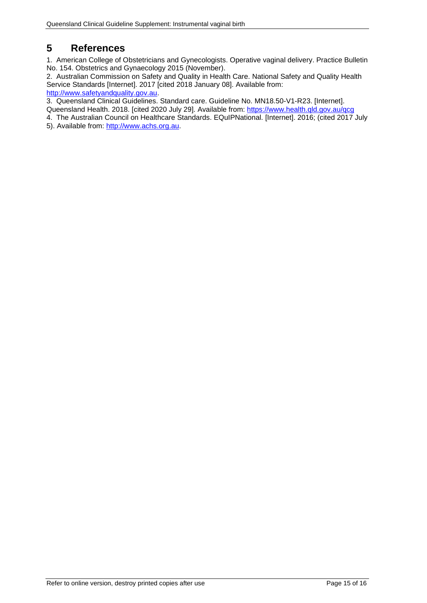# <span id="page-14-0"></span>**5 References**

1. American College of Obstetricians and Gynecologists. Operative vaginal delivery. Practice Bulletin No. 154. Obstetrics and Gynaecology 2015 (November).

2. Australian Commission on Safety and Quality in Health Care. National Safety and Quality Health Service Standards [Internet]. 2017 [cited 2018 January 08]. Available from: [http://www.safetyandquality.gov.au.](http://www.safetyandquality.gov.au/)

3. Queensland Clinical Guidelines. Standard care. Guideline No. MN18.50-V1-R23. [Internet].

Queensland Health. 2018. [cited 2020 July 29]. Available from:<https://www.health.qld.gov.au/qcg>

4. The Australian Council on Healthcare Standards. EQuIPNational. [Internet]. 2016; (cited 2017 July 5). Available from: [http://www.achs.org.au.](http://www.achs.org.au/)

Refer to online version, destroy printed copies after use Page 15 of 16